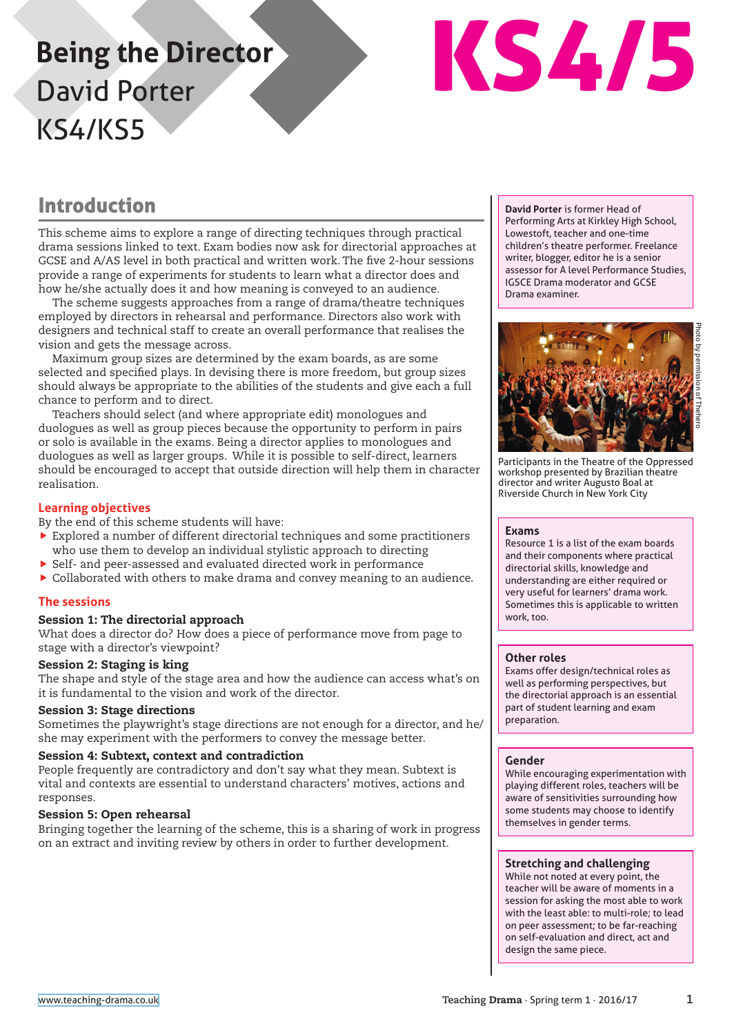# **Being the Director** David Porter KS4/KS5



## Introduction

This scheme aims to explore a range of directing techniques through practical drama sessions linked to text. Exam bodies now ask for directorial approaches at GCSE and A/AS level in both practical and written work. The five 2-hour sessions provide a range of experiments for students to learn what a director does and how he/she actually does it and how meaning is conveyed to an audience.

The scheme suggests approaches from a range of drama/theatre techniques employed by directors in rehearsal and performance. Directors also work with designers and technical staff to create an overall performance that realises the vision and gets the message across.

Maximum group sizes are determined by the exam boards, as are some selected and specified plays. In devising there is more freedom, but group sizes should always be appropriate to the abilities of the students and give each a full chance to perform and to direct.

Teachers should select (and where appropriate edit) monologues and duologues as well as group pieces because the opportunity to perform in pairs or solo is available in the exams. Being a director applies to monologues and duologues as well as larger groups. While it is possible to self-direct, learners should be encouraged to accept that outside direction will help them in character realisation.

#### **Learning objectives**

By the end of this scheme students will have:

- $\blacktriangleright$  Explored a number of different directorial techniques and some practitioners who use them to develop an individual stylistic approach to directing
- $\triangleright$  Self- and peer-assessed and evaluated directed work in performance
- $\triangleright$  Collaborated with others to make drama and convey meaning to an audience.

#### **The sessions**

#### Session 1: The directorial approach

What does a director do? How does a piece of performance move from page to stage with a director's viewpoint?

#### Session 2: Staging is king

The shape and style of the stage area and how the audience can access what's on it is fundamental to the vision and work of the director.

#### Session 3: Stage directions

Sometimes the playwright's stage directions are not enough for a director, and he/ she may experiment with the performers to convey the message better.

#### Session 4: Subtext, context and contradiction

People frequently are contradictory and don't say what they mean. Subtext is vital and contexts are essential to understand characters' motives, actions and responses.

#### Session 5: Open rehearsal

Bringing together the learning of the scheme, this is a sharing of work in progress on an extract and inviting review by others in order to further development.

**David Porter** is former Head of Performing Arts at Kirkley High School, Lowestoft, teacher and one-time children's theatre performer. Freelance writer, blogger, editor he is a senior assessor for A level Performance Studies, IGSCE Drama moderator and GCSE Drama examiner.



Participants in the Theatre of the Oppressed workshop presented by Brazilian theatre director and writer Augusto Boal at Riverside Church in New York City

#### **Exams**

Resource 1 is a list of the exam boards and their components where practical directorial skills, knowledge and understanding are either required or very useful for learners' drama work. Sometimes this is applicable to written work, too.

#### **Other roles**

Exams offer design/technical roles as well as performing perspectives, but the directorial approach is an essential part of student learning and exam preparation.

#### **Gender**

While encouraging experimentation with playing different roles, teachers will be aware of sensitivities surrounding how some students may choose to identify themselves in gender terms.

#### **Stretching and challenging**

While not noted at every point, the teacher will be aware of moments in a session for asking the most able to work with the least able: to multi-role; to lead on peer assessment; to be far-reaching on self-evaluation and direct, act and design the same piece.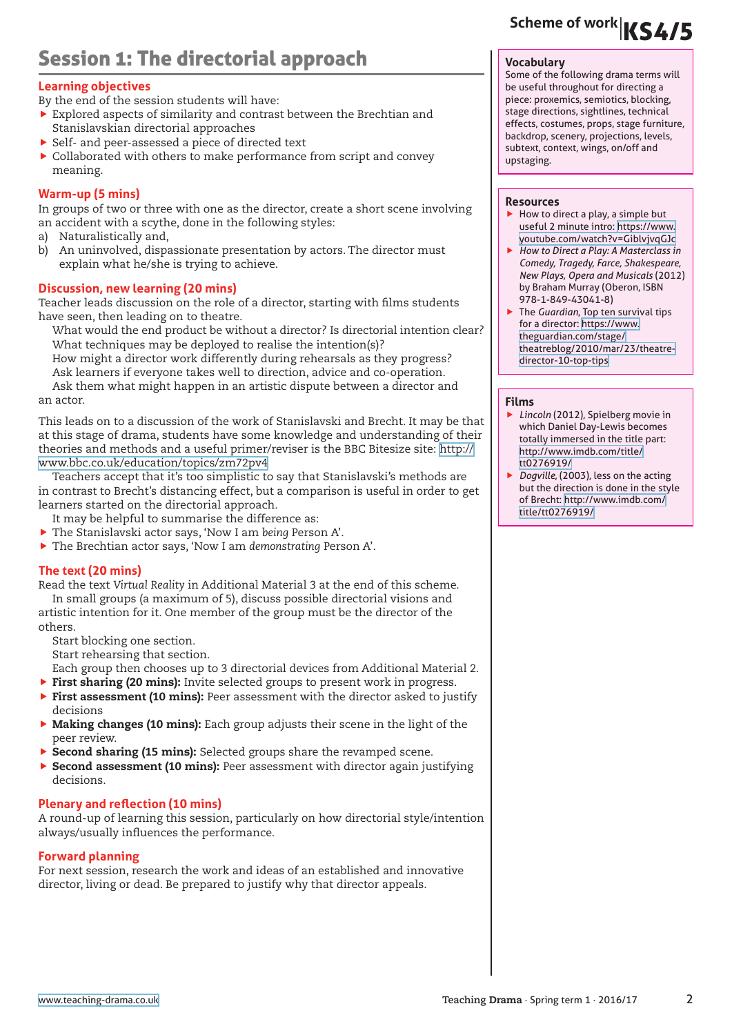## Session 1: The directorial approach

#### **Learning objectives**

By the end of the session students will have:

- $\blacktriangleright$  Explored aspects of similarity and contrast between the Brechtian and Stanislavskian directorial approaches
- ▶ Self- and peer-assessed a piece of directed text
- $\triangleright$  Collaborated with others to make performance from script and convey meaning.

#### **Warm-up (5 mins)**

In groups of two or three with one as the director, create a short scene involving an accident with a scythe, done in the following styles:

- a) Naturalistically and,
- b) An uninvolved, dispassionate presentation by actors. The director must explain what he/she is trying to achieve.

#### **Discussion, new learning (20 mins)**

Teacher leads discussion on the role of a director, starting with films students have seen, then leading on to theatre.

What would the end product be without a director? Is directorial intention clear? What techniques may be deployed to realise the intention(s)?

How might a director work differently during rehearsals as they progress? Ask learners if everyone takes well to direction, advice and co-operation.

Ask them what might happen in an artistic dispute between a director and an actor.

This leads on to a discussion of the work of Stanislavski and Brecht. It may be that at this stage of drama, students have some knowledge and understanding of their theories and methods and a useful primer/reviser is the BBC Bitesize site: [http://](http://www.bbc.co.uk/education/topics/zm72pv4) [www.bbc.co.uk/education/topics/zm72pv4](http://www.bbc.co.uk/education/topics/zm72pv4)

Teachers accept that it's too simplistic to say that Stanislavski's methods are in contrast to Brecht's distancing effect, but a comparison is useful in order to get learners started on the directorial approach.

It may be helpful to summarise the difference as:

- f The Stanislavski actor says, 'Now I am *being* Person A'.
- f The Brechtian actor says, 'Now I am *demonstrating* Person A'.

#### **The text (20 mins)**

Read the text *Virtual Reality* in Additional Material 3 at the end of this scheme. In small groups (a maximum of 5), discuss possible directorial visions and artistic intention for it. One member of the group must be the director of the others.

Start blocking one section.

Start rehearsing that section.

Each group then chooses up to 3 directorial devices from Additional Material 2.

- **First sharing (20 mins):** Invite selected groups to present work in progress.
- First assessment (10 mins): Peer assessment with the director asked to justify decisions
- $\triangleright$  Making changes (10 mins): Each group adjusts their scene in the light of the peer review.
- Second sharing (15 mins): Selected groups share the revamped scene.
- **F** Second assessment (10 mins): Peer assessment with director again justifying decisions.

#### **Plenary and reflection (10 mins)**

A round-up of learning this session, particularly on how directorial style/intention always/usually influences the performance.

#### **Forward planning**

For next session, research the work and ideas of an established and innovative director, living or dead. Be prepared to justify why that director appeals.

# **Scheme of work**|KS4/5

#### **Vocabulary**

Some of the following drama terms will be useful throughout for directing a piece: proxemics, semiotics, blocking, stage directions, sightlines, technical effects, costumes, props, stage furniture, backdrop, scenery, projections, levels, subtext, context, wings, on/off and upstaging.

#### **Resources**

- $\blacktriangleright$  How to direct a play, a simple but useful 2 minute intro: [https://www.](https://www.youtube.com/watch?v=GiblvjvqGJc) [youtube.com/watch?v=GiblvjvqGJc](https://www.youtube.com/watch?v=GiblvjvqGJc)
- ▶ How to Direct a Play: A Masterclass in *Comedy, Tragedy, Farce, Shakespeare, New Plays, Opera and Musicals* (2012) by Braham Murray (Oberon, ISBN 978-1-849-43041-8)
- **F** The *Guardian*, Top ten survival tips for a director: [https://www.](https://www.theguardian.com/stage/theatreblog/2010/mar/23/theatre-director-10-top-tips) [theguardian.com/stage/](https://www.theguardian.com/stage/theatreblog/2010/mar/23/theatre-director-10-top-tips) [theatreblog/2010/mar/23/theatre](https://www.theguardian.com/stage/theatreblog/2010/mar/23/theatre-director-10-top-tips)[director-10-top-tips](https://www.theguardian.com/stage/theatreblog/2010/mar/23/theatre-director-10-top-tips)

#### **Films**

- ▶ *Lincoln* (2012), Spielberg movie in which Daniel Day-Lewis becomes totally immersed in the title part: [http://www.imdb.com/title/](http://www.imdb.com/title/tt0276919/) [tt0276919/](http://www.imdb.com/title/tt0276919/)
- Dogville, (2003), less on the acting but the direction is done in the style of Brecht: [http://www.imdb.com/](http://www.imdb.com/title/tt0276919/) [title/tt0276919/](http://www.imdb.com/title/tt0276919/)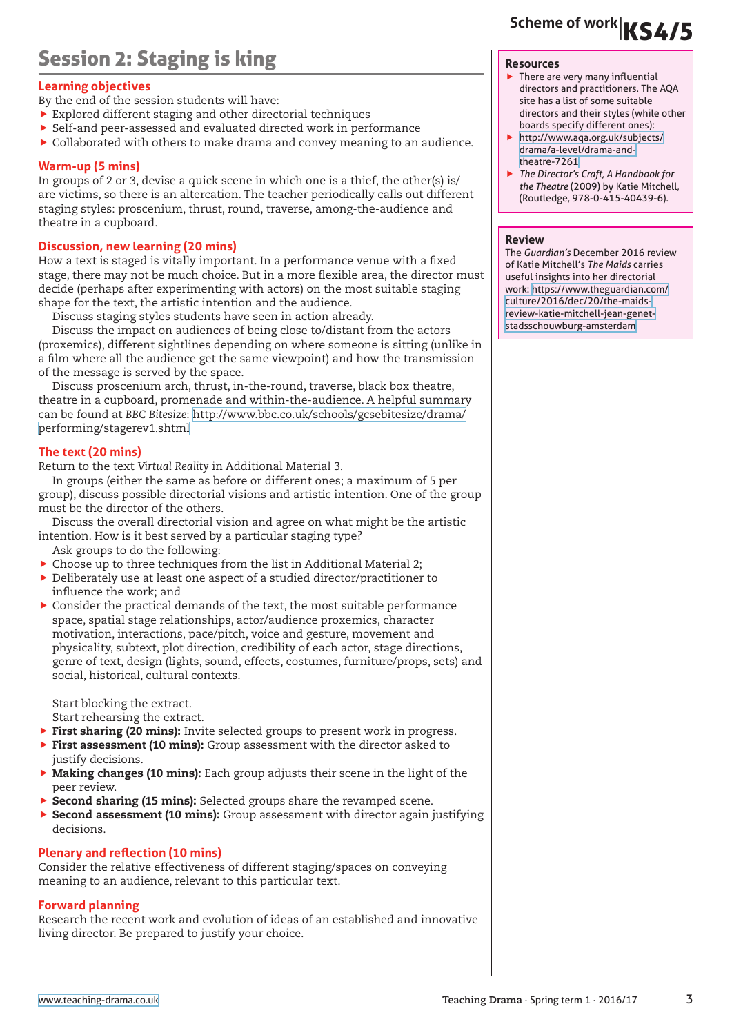# Session 2: Staging is king

#### **Learning objectives**

- By the end of the session students will have:
- $\blacktriangleright$  Explored different staging and other directorial techniques
- f Self-and peer-assessed and evaluated directed work in performance
- $\triangleright$  Collaborated with others to make drama and convey meaning to an audience.

#### **Warm-up (5 mins)**

In groups of 2 or 3, devise a quick scene in which one is a thief, the other(s) is/ are victims, so there is an altercation. The teacher periodically calls out different staging styles: proscenium, thrust, round, traverse, among-the-audience and theatre in a cupboard.

#### **Discussion, new learning (20 mins)**

How a text is staged is vitally important. In a performance venue with a fixed stage, there may not be much choice. But in a more flexible area, the director must decide (perhaps after experimenting with actors) on the most suitable staging shape for the text, the artistic intention and the audience.

Discuss staging styles students have seen in action already.

Discuss the impact on audiences of being close to/distant from the actors (proxemics), different sightlines depending on where someone is sitting (unlike in a film where all the audience get the same viewpoint) and how the transmission of the message is served by the space.

Discuss proscenium arch, thrust, in-the-round, traverse, black box theatre, theatre in a cupboard, promenade and within-the-audience. A helpful summary can be found at *BBC Bitesize*: [http://www.bbc.co.uk/schools/gcsebitesize/drama/](http://www.bbc.co.uk/schools/gcsebitesize/drama/performing/stagerev1.shtml) [performing/stagerev1.shtml](http://www.bbc.co.uk/schools/gcsebitesize/drama/performing/stagerev1.shtml)

#### **The text (20 mins)**

Return to the text *Virtual Reality* in Additional Material 3.

In groups (either the same as before or different ones; a maximum of 5 per group), discuss possible directorial visions and artistic intention. One of the group must be the director of the others.

Discuss the overall directorial vision and agree on what might be the artistic intention. How is it best served by a particular staging type?

- Ask groups to do the following:
- $\triangleright$  Choose up to three techniques from the list in Additional Material 2;
- $\blacktriangleright$  Deliberately use at least one aspect of a studied director/practitioner to influence the work; and
- $\blacktriangleright$  Consider the practical demands of the text, the most suitable performance space, spatial stage relationships, actor/audience proxemics, character motivation, interactions, pace/pitch, voice and gesture, movement and physicality, subtext, plot direction, credibility of each actor, stage directions, genre of text, design (lights, sound, effects, costumes, furniture/props, sets) and social, historical, cultural contexts.

Start blocking the extract. Start rehearsing the extract.

- $\triangleright$  First sharing (20 mins): Invite selected groups to present work in progress.
- $\triangleright$  First assessment (10 mins): Group assessment with the director asked to
- justify decisions.  $\triangleright$  Making changes (10 mins): Each group adjusts their scene in the light of the
- peer review.
- $\triangleright$  Second sharing (15 mins): Selected groups share the revamped scene.
- ▶ Second assessment (10 mins): Group assessment with director again justifying decisions.

#### **Plenary and reflection (10 mins)**

Consider the relative effectiveness of different staging/spaces on conveying meaning to an audience, relevant to this particular text.

#### **Forward planning**

Research the recent work and evolution of ideas of an established and innovative living director. Be prepared to justify your choice.

# **Scheme of work**|KS4/5

#### **Resources**

- $\blacktriangleright$  There are very many influential directors and practitioners. The AQA site has a list of some suitable directors and their styles (while other boards specify different ones):
- [http://www.aqa.org.uk/subjects/](http://www.aqa.org.uk/subjects/drama/a-level/drama-and-theatre-7261) [drama/a-level/drama-and](http://www.aqa.org.uk/subjects/drama/a-level/drama-and-theatre-7261)[theatre-7261](http://www.aqa.org.uk/subjects/drama/a-level/drama-and-theatre-7261)
- **F** The Director's Craft, A Handbook for *the Theatre* (2009) by Katie Mitchell, (Routledge, 978-0-415-40439-6).

#### **Review**

The *Guardian's* December 2016 review of Katie Mitchell's *The Maids* carries useful insights into her directorial work: [https://www.theguardian.com/](https://www.theguardian.com/culture/2016/dec/20/the-maids-review-katie-mitchell-jean-genet-stadsschouwburg-amsterdam) [culture/2016/dec/20/the-maids](https://www.theguardian.com/culture/2016/dec/20/the-maids-review-katie-mitchell-jean-genet-stadsschouwburg-amsterdam)[review-katie-mitchell-jean-genet](https://www.theguardian.com/culture/2016/dec/20/the-maids-review-katie-mitchell-jean-genet-stadsschouwburg-amsterdam)[stadsschouwburg-amsterdam](https://www.theguardian.com/culture/2016/dec/20/the-maids-review-katie-mitchell-jean-genet-stadsschouwburg-amsterdam)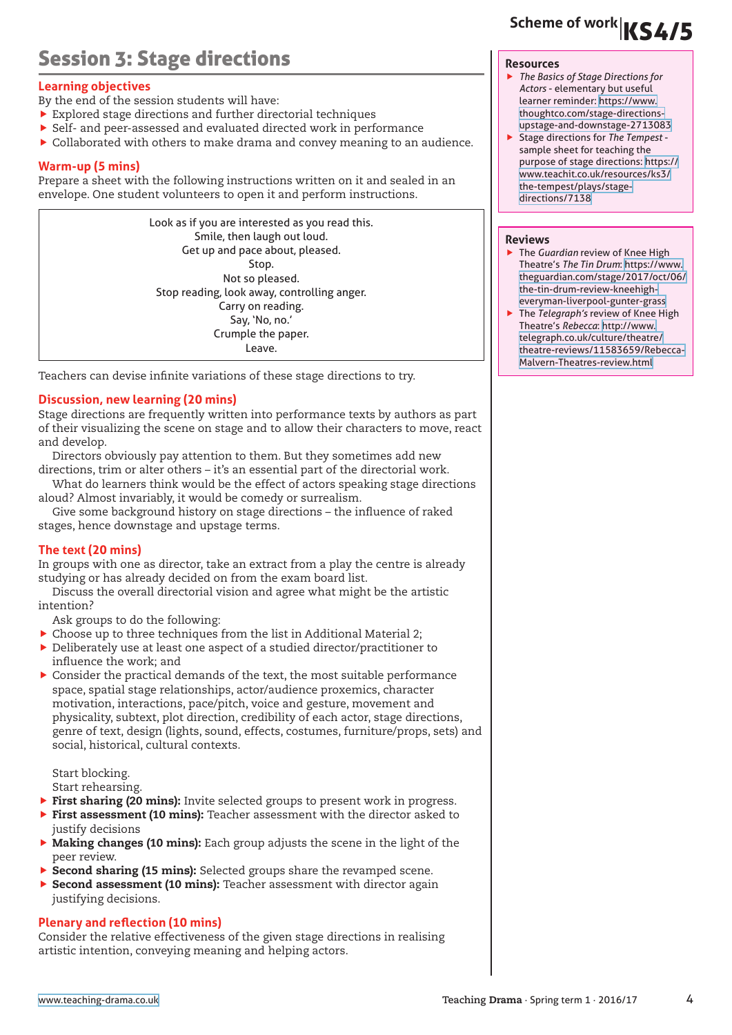# Session 3: Stage directions

### **Learning objectives**

By the end of the session students will have:

- $\blacktriangleright$  Explored stage directions and further directorial techniques
- $\blacktriangleright$  Self- and peer-assessed and evaluated directed work in performance
- $\triangleright$  Collaborated with others to make drama and convey meaning to an audience.

### **Warm-up (5 mins)**

Prepare a sheet with the following instructions written on it and sealed in an envelope. One student volunteers to open it and perform instructions.

Look as if you are interested as you read this. Smile, then laugh out loud. Get up and pace about, pleased. Stop. Not so pleased. Stop reading, look away, controlling anger. Carry on reading. Say, 'No, no.' Crumple the paper. Leave.

Teachers can devise infinite variations of these stage directions to try.

### **Discussion, new learning (20 mins)**

Stage directions are frequently written into performance texts by authors as part of their visualizing the scene on stage and to allow their characters to move, react and develop.

Directors obviously pay attention to them. But they sometimes add new directions, trim or alter others – it's an essential part of the directorial work.

What do learners think would be the effect of actors speaking stage directions aloud? Almost invariably, it would be comedy or surrealism.

Give some background history on stage directions – the influence of raked stages, hence downstage and upstage terms.

### **The text (20 mins)**

In groups with one as director, take an extract from a play the centre is already studying or has already decided on from the exam board list.

Discuss the overall directorial vision and agree what might be the artistic intention?

Ask groups to do the following:

- $\triangleright$  Choose up to three techniques from the list in Additional Material 2;
- $\blacktriangleright$  Deliberately use at least one aspect of a studied director/practitioner to influence the work; and
- $\blacktriangleright$  Consider the practical demands of the text, the most suitable performance space, spatial stage relationships, actor/audience proxemics, character motivation, interactions, pace/pitch, voice and gesture, movement and physicality, subtext, plot direction, credibility of each actor, stage directions, genre of text, design (lights, sound, effects, costumes, furniture/props, sets) and social, historical, cultural contexts.

Start blocking. Start rehearsing.

- First sharing (20 mins): Invite selected groups to present work in progress.
- $\triangleright$  First assessment (10 mins): Teacher assessment with the director asked to justify decisions
- $\triangleright$  Making changes (10 mins): Each group adjusts the scene in the light of the peer review.
- Second sharing (15 mins): Selected groups share the revamped scene.
- $\triangleright$  Second assessment (10 mins): Teacher assessment with director again justifying decisions.

#### **Plenary and reflection (10 mins)**

Consider the relative effectiveness of the given stage directions in realising artistic intention, conveying meaning and helping actors.

#### **Resources**

- f *The Basics of Stage Directions for Actors* - elementary but useful learner reminder: [https://www.](https://www.thoughtco.com/stage-directions-upstage-and-downstage-2713083) [thoughtco.com/stage-directions](https://www.thoughtco.com/stage-directions-upstage-and-downstage-2713083)[upstage-and-downstage-2713083](https://www.thoughtco.com/stage-directions-upstage-and-downstage-2713083)
- f Stage directions for *The Tempest* sample sheet for teaching the purpose of stage directions: [https://](https://www.teachit.co.uk/resources/ks3/the-tempest/plays/stage-directions/7138) [www.teachit.co.uk/resources/ks3/](https://www.teachit.co.uk/resources/ks3/the-tempest/plays/stage-directions/7138) [the-tempest/plays/stage](https://www.teachit.co.uk/resources/ks3/the-tempest/plays/stage-directions/7138)[directions/7138](https://www.teachit.co.uk/resources/ks3/the-tempest/plays/stage-directions/7138)

#### **Reviews**

- **F** The *Guardian* review of Knee High Theatre's *The Tin Drum*: [https://www.](https://www.theguardian.com/stage/2017/oct/06/the-tin-drum-review-kneehigh-everyman-liverpool-gunter-grass) [theguardian.com/stage/2017/oct/06/](https://www.theguardian.com/stage/2017/oct/06/the-tin-drum-review-kneehigh-everyman-liverpool-gunter-grass) [the-tin-drum-review-kneehigh](https://www.theguardian.com/stage/2017/oct/06/the-tin-drum-review-kneehigh-everyman-liverpool-gunter-grass)[everyman-liverpool-gunter-grass](https://www.theguardian.com/stage/2017/oct/06/the-tin-drum-review-kneehigh-everyman-liverpool-gunter-grass)
- **F** The Telegraph's review of Knee High Theatre's *Rebecca*: [http://www.](http://www.telegraph.co.uk/culture/theatre/theatre-reviews/11583659/Rebecca-Malvern-Theatres-review.html) [telegraph.co.uk/culture/theatre/](http://www.telegraph.co.uk/culture/theatre/theatre-reviews/11583659/Rebecca-Malvern-Theatres-review.html) [theatre-reviews/11583659/Rebecca-](http://www.telegraph.co.uk/culture/theatre/theatre-reviews/11583659/Rebecca-Malvern-Theatres-review.html)[Malvern-Theatres-review.html](http://www.telegraph.co.uk/culture/theatre/theatre-reviews/11583659/Rebecca-Malvern-Theatres-review.html)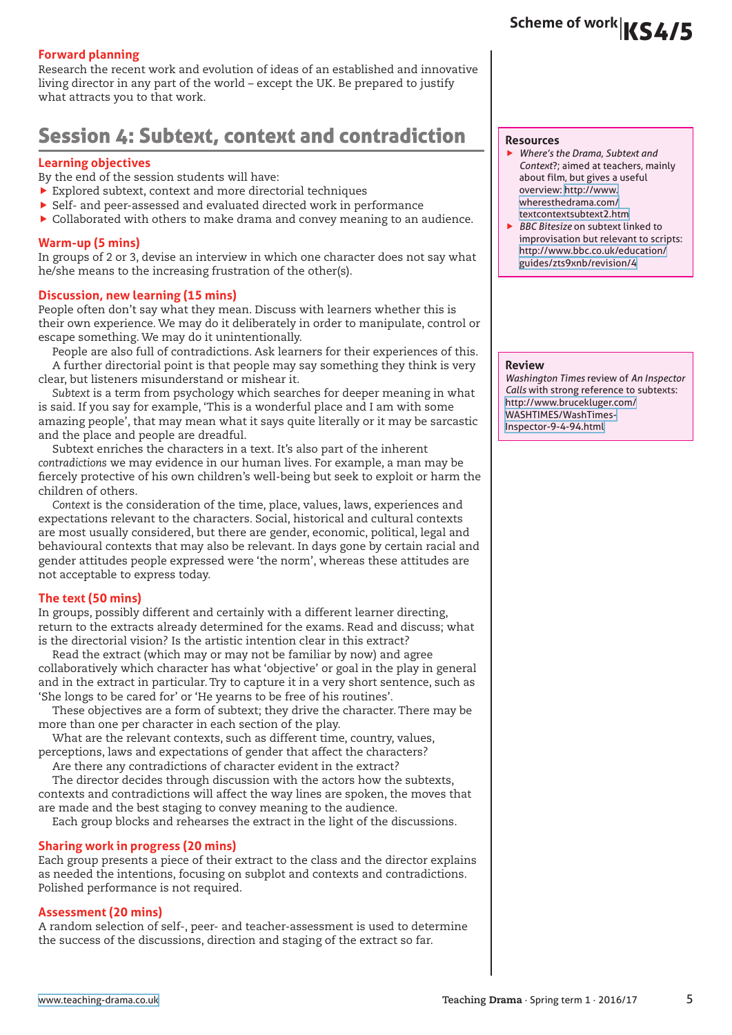#### **Forward planning**

Research the recent work and evolution of ideas of an established and innovative living director in any part of the world – except the UK. Be prepared to justify what attracts you to that work.

### Session 4: Subtext, context and contradiction

#### **Learning objectives**

By the end of the session students will have:

- $\blacktriangleright$  Explored subtext, context and more directorial techniques
- $\triangleright$  Self- and peer-assessed and evaluated directed work in performance
- $\blacktriangleright$  Collaborated with others to make drama and convey meaning to an audience.

#### **Warm-up (5 mins)**

In groups of 2 or 3, devise an interview in which one character does not say what he/she means to the increasing frustration of the other(s).

#### **Discussion, new learning (15 mins)**

People often don't say what they mean. Discuss with learners whether this is their own experience. We may do it deliberately in order to manipulate, control or escape something. We may do it unintentionally.

People are also full of contradictions. Ask learners for their experiences of this. A further directorial point is that people may say something they think is very clear, but listeners misunderstand or mishear it.

*Subtext* is a term from psychology which searches for deeper meaning in what is said. If you say for example, 'This is a wonderful place and I am with some amazing people', that may mean what it says quite literally or it may be sarcastic and the place and people are dreadful.

Subtext enriches the characters in a text. It's also part of the inherent *contradictions* we may evidence in our human lives. For example, a man may be fiercely protective of his own children's well-being but seek to exploit or harm the children of others.

*Context* is the consideration of the time, place, values, laws, experiences and expectations relevant to the characters. Social, historical and cultural contexts are most usually considered, but there are gender, economic, political, legal and behavioural contexts that may also be relevant. In days gone by certain racial and gender attitudes people expressed were 'the norm', whereas these attitudes are not acceptable to express today.

#### **The text (50 mins)**

In groups, possibly different and certainly with a different learner directing, return to the extracts already determined for the exams. Read and discuss; what is the directorial vision? Is the artistic intention clear in this extract?

Read the extract (which may or may not be familiar by now) and agree collaboratively which character has what 'objective' or goal in the play in general and in the extract in particular. Try to capture it in a very short sentence, such as 'She longs to be cared for' or 'He yearns to be free of his routines'.

These objectives are a form of subtext; they drive the character. There may be more than one per character in each section of the play.

What are the relevant contexts, such as different time, country, values, perceptions, laws and expectations of gender that affect the characters?

Are there any contradictions of character evident in the extract?

The director decides through discussion with the actors how the subtexts, contexts and contradictions will affect the way lines are spoken, the moves that are made and the best staging to convey meaning to the audience.

Each group blocks and rehearses the extract in the light of the discussions.

#### **Sharing work in progress (20 mins)**

Each group presents a piece of their extract to the class and the director explains as needed the intentions, focusing on subplot and contexts and contradictions. Polished performance is not required.

#### **Assessment (20 mins)**

A random selection of self-, peer- and teacher-assessment is used to determine the success of the discussions, direction and staging of the extract so far.

#### **Resources**

- f *Where's the Drama, Subtext and Context*?; aimed at teachers, mainly about film, but gives a useful overview: [http://www.](http://www.wheresthedrama.com/textcontextsubtext2.htm) [wheresthedrama.com/](http://www.wheresthedrama.com/textcontextsubtext2.htm) [textcontextsubtext2.htm](http://www.wheresthedrama.com/textcontextsubtext2.htm)
- f *BBC Bitesize* on subtext linked to improvisation but relevant to scripts: [http://www.bbc.co.uk/education/](http://www.bbc.co.uk/education/guides/zts9xnb/revision/4) [guides/zts9xnb/revision/4](http://www.bbc.co.uk/education/guides/zts9xnb/revision/4)

#### **Review**

*Washington Times* review of *An Inspector Calls* with strong reference to subtexts: [http://www.brucekluger.com/](http://www.brucekluger.com/WASHTIMES/WashTimes-Inspector-9-4-94.html) [WASHTIMES/WashTimes-](http://www.brucekluger.com/WASHTIMES/WashTimes-Inspector-9-4-94.html)[Inspector-9-4-94.html](http://www.brucekluger.com/WASHTIMES/WashTimes-Inspector-9-4-94.html)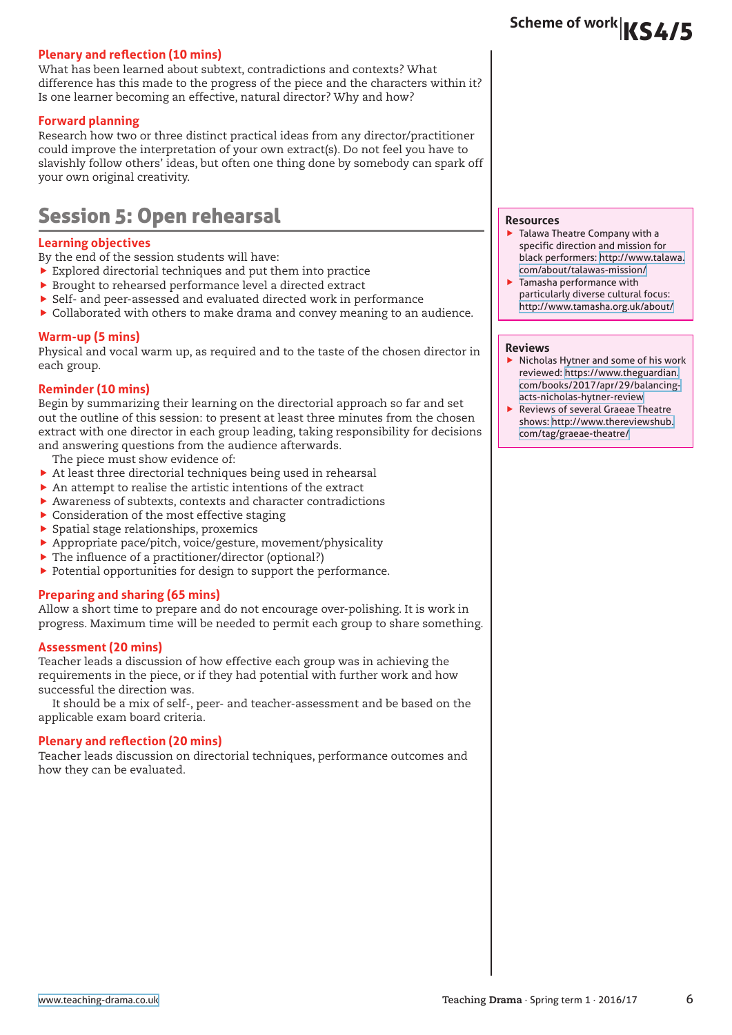#### **Plenary and reflection (10 mins)**

What has been learned about subtext, contradictions and contexts? What difference has this made to the progress of the piece and the characters within it? Is one learner becoming an effective, natural director? Why and how?

#### **Forward planning**

Research how two or three distinct practical ideas from any director/practitioner could improve the interpretation of your own extract(s). Do not feel you have to slavishly follow others' ideas, but often one thing done by somebody can spark off your own original creativity.

## Session 5: Open rehearsal

#### **Learning objectives**

By the end of the session students will have:

- $\blacktriangleright$  Explored directorial techniques and put them into practice
- $\blacktriangleright$  Brought to rehearsed performance level a directed extract
- $\triangleright$  Self- and peer-assessed and evaluated directed work in performance
- $\blacktriangleright$  Collaborated with others to make drama and convey meaning to an audience.

#### **Warm-up (5 mins)**

Physical and vocal warm up, as required and to the taste of the chosen director in each group.

#### **Reminder (10 mins)**

Begin by summarizing their learning on the directorial approach so far and set out the outline of this session: to present at least three minutes from the chosen extract with one director in each group leading, taking responsibility for decisions and answering questions from the audience afterwards.

- The piece must show evidence of:
- $\blacktriangleright$  At least three directorial techniques being used in rehearsal
- $\blacktriangleright$  An attempt to realise the artistic intentions of the extract
- $\blacktriangleright$  Awareness of subtexts, contexts and character contradictions
- $\blacktriangleright$  Consideration of the most effective staging
- $\blacktriangleright$  Spatial stage relationships, proxemics
- $\blacktriangleright$  Appropriate pace/pitch, voice/gesture, movement/physicality
- $\blacktriangleright$  The influence of a practitioner/director (optional?)
- $\blacktriangleright$  Potential opportunities for design to support the performance.

#### **Preparing and sharing (65 mins)**

Allow a short time to prepare and do not encourage over-polishing. It is work in progress. Maximum time will be needed to permit each group to share something.

#### **Assessment (20 mins)**

Teacher leads a discussion of how effective each group was in achieving the requirements in the piece, or if they had potential with further work and how successful the direction was.

It should be a mix of self-, peer- and teacher-assessment and be based on the applicable exam board criteria.

#### **Plenary and reflection (20 mins)**

Teacher leads discussion on directorial techniques, performance outcomes and how they can be evaluated.

#### **Resources**

- $\blacktriangleright$  Talawa Theatre Company with a specific direction and mission for black performers: [http://www.talawa.](http://www.talawa.com/about/talawas-mission/) [com/about/talawas-mission/](http://www.talawa.com/about/talawas-mission/)
- Tamasha performance with particularly diverse cultural focus: <http://www.tamasha.org.uk/about/>

#### **Reviews**

- $\blacktriangleright$  Nicholas Hytner and some of his work reviewed: [https://www.theguardian.](https://www.theguardian.com/books/2017/apr/29/balancing-acts-nicholas-hytner-review) [com/books/2017/apr/29/balancing](https://www.theguardian.com/books/2017/apr/29/balancing-acts-nicholas-hytner-review)[acts-nicholas-hytner-review](https://www.theguardian.com/books/2017/apr/29/balancing-acts-nicholas-hytner-review)
- Reviews of several Graeae Theatre shows: [http://www.thereviewshub.](http://www.thereviewshub.com/tag/graeae-theatre/) [com/tag/graeae-theatre/](http://www.thereviewshub.com/tag/graeae-theatre/)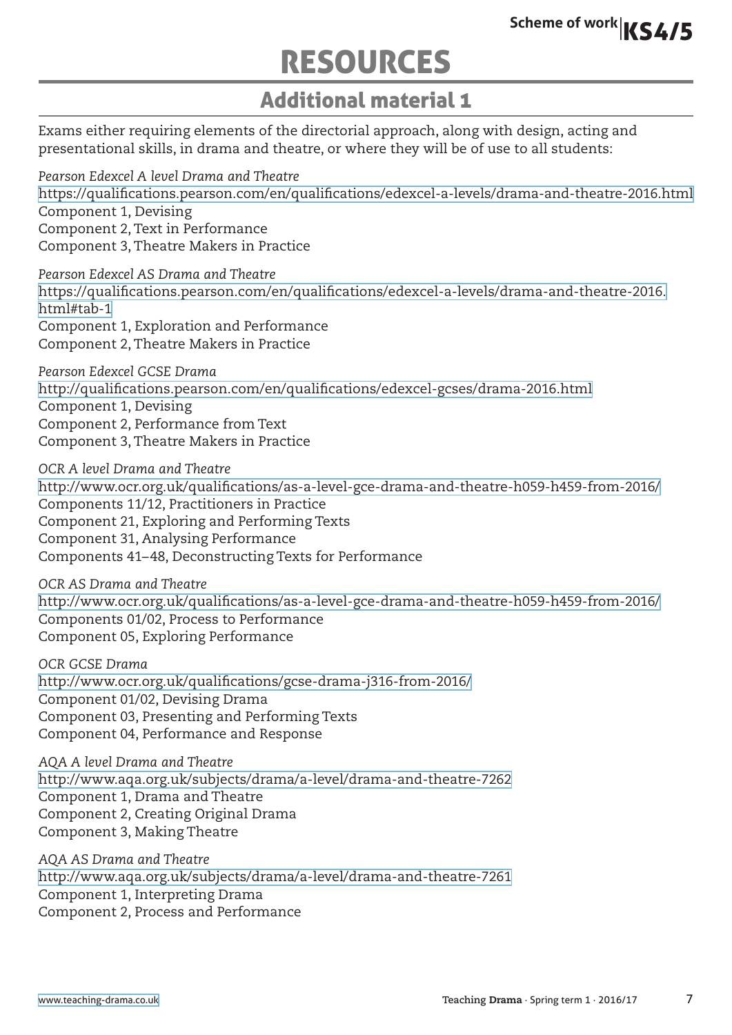# RESOURCES

# Additional material 1

Exams either requiring elements of the directorial approach, along with design, acting and presentational skills, in drama and theatre, or where they will be of use to all students:

*Pearson Edexcel A level Drama and Theatre* <https://qualifications.pearson.com/en/qualifications/edexcel-a-levels/drama-and-theatre-2016.html> Component 1, Devising Component 2, Text in Performance Component 3, Theatre Makers in Practice

*Pearson Edexcel AS Drama and Theatre* [https://qualifications.pearson.com/en/qualifications/edexcel-a-levels/drama-and-theatre-2016.](https://qualifications.pearson.com/en/qualifications/edexcel-a-levels/drama-and-theatre-2016.html#tab-1) [html#tab-1](https://qualifications.pearson.com/en/qualifications/edexcel-a-levels/drama-and-theatre-2016.html#tab-1) Component 1, Exploration and Performance Component 2, Theatre Makers in Practice

*Pearson Edexcel GCSE Drama* <http://qualifications.pearson.com/en/qualifications/edexcel-gcses/drama-2016.html> Component 1, Devising Component 2, Performance from Text Component 3, Theatre Makers in Practice

*OCR A level Drama and Theatre* <http://www.ocr.org.uk/qualifications/as-a-level-gce-drama-and-theatre-h059-h459-from-2016/> Components 11/12, Practitioners in Practice Component 21, Exploring and Performing Texts Component 31, Analysing Performance Components 41–48, Deconstructing Texts for Performance

*OCR AS Drama and Theatre* <http://www.ocr.org.uk/qualifications/as-a-level-gce-drama-and-theatre-h059-h459-from-2016/> Components 01/02, Process to Performance Component 05, Exploring Performance

*OCR GCSE Drama* <http://www.ocr.org.uk/qualifications/gcse-drama-j316-from-2016/> Component 01/02, Devising Drama Component 03, Presenting and Performing Texts Component 04, Performance and Response

*AQA A level Drama and Theatre* <http://www.aqa.org.uk/subjects/drama/a-level/drama-and-theatre-7262> Component 1, Drama and Theatre Component 2, Creating Original Drama Component 3, Making Theatre

*AQA AS Drama and Theatre* <http://www.aqa.org.uk/subjects/drama/a-level/drama-and-theatre-7261> Component 1, Interpreting Drama Component 2, Process and Performance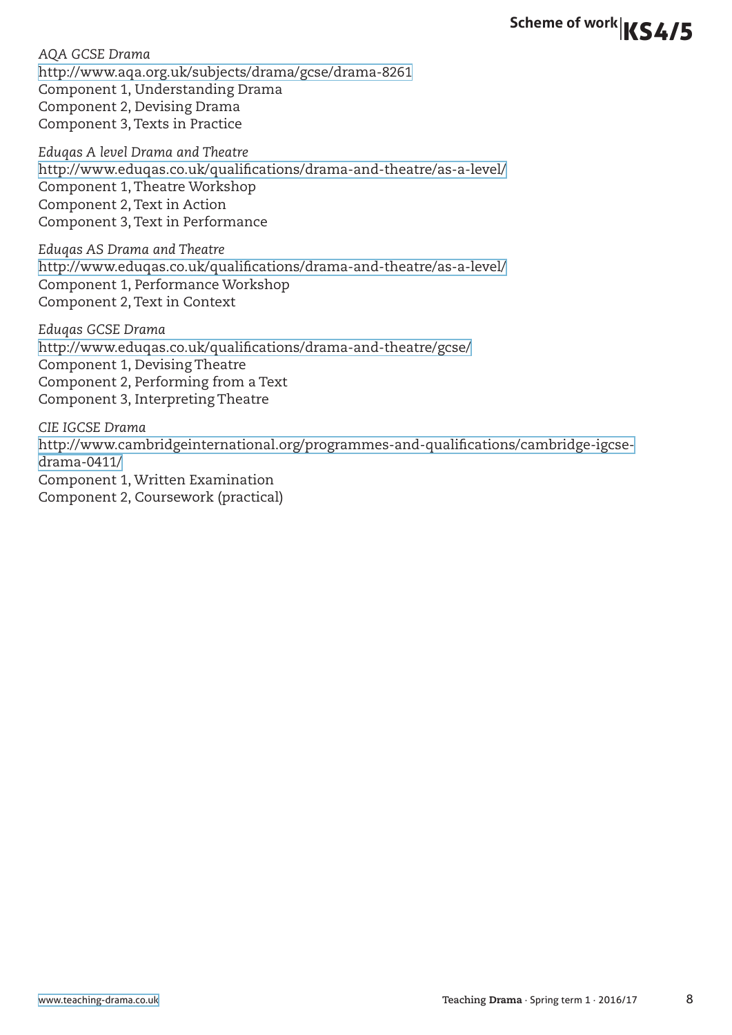*AQA GCSE Drama* <http://www.aqa.org.uk/subjects/drama/gcse/drama-8261> Component 1, Understanding Drama Component 2, Devising Drama Component 3, Texts in Practice

*Eduqas A level Drama and Theatre* <http://www.eduqas.co.uk/qualifications/drama-and-theatre/as-a-level/> Component 1, Theatre Workshop Component 2, Text in Action Component 3, Text in Performance

*Eduqas AS Drama and Theatre* <http://www.eduqas.co.uk/qualifications/drama-and-theatre/as-a-level/> Component 1, Performance Workshop Component 2, Text in Context

*Eduqas GCSE Drama* <http://www.eduqas.co.uk/qualifications/drama-and-theatre/gcse/> Component 1, Devising Theatre Component 2, Performing from a Text Component 3, Interpreting Theatre

*CIE IGCSE Drama* [http://www.cambridgeinternational.org/programmes-and-qualifications/cambridge-igcse](http://www.cambridgeinternational.org/programmes-and-qualifications/cambridge-igcse-drama-0411/)[drama-0411/](http://www.cambridgeinternational.org/programmes-and-qualifications/cambridge-igcse-drama-0411/) Component 1, Written Examination Component 2, Coursework (practical)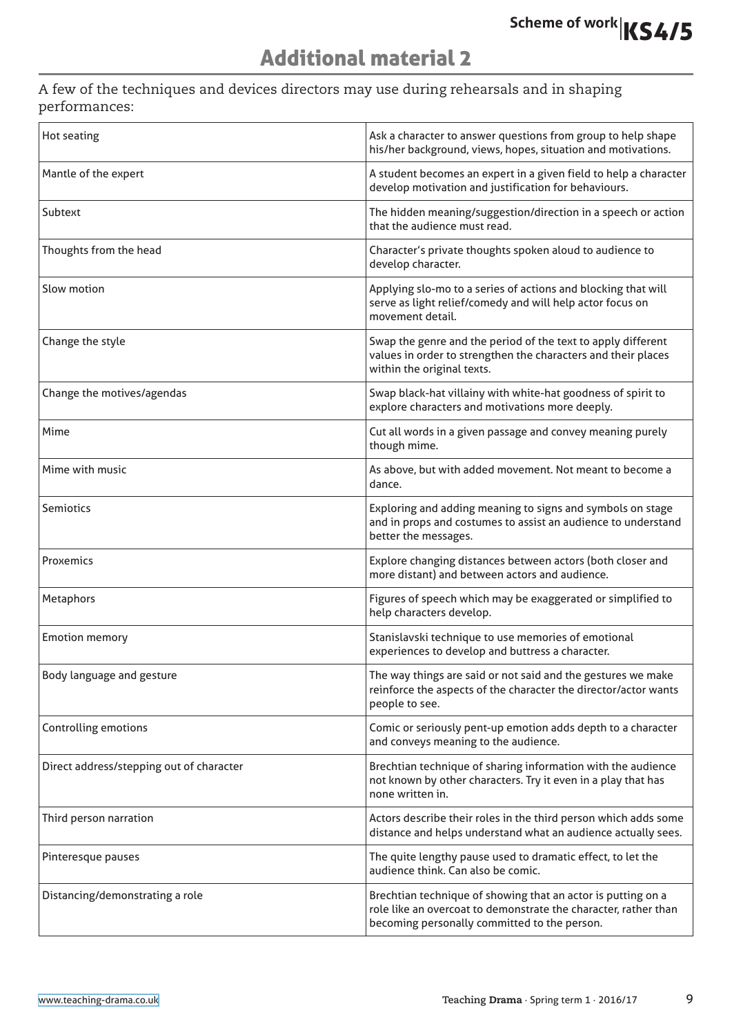# Additional material 2

A few of the techniques and devices directors may use during rehearsals and in shaping performances:

| Hot seating                              | Ask a character to answer questions from group to help shape<br>his/her background, views, hopes, situation and motivations.                                                    |
|------------------------------------------|---------------------------------------------------------------------------------------------------------------------------------------------------------------------------------|
| Mantle of the expert                     | A student becomes an expert in a given field to help a character<br>develop motivation and justification for behaviours.                                                        |
| Subtext                                  | The hidden meaning/suggestion/direction in a speech or action<br>that the audience must read.                                                                                   |
| Thoughts from the head                   | Character's private thoughts spoken aloud to audience to<br>develop character.                                                                                                  |
| Slow motion                              | Applying slo-mo to a series of actions and blocking that will<br>serve as light relief/comedy and will help actor focus on<br>movement detail.                                  |
| Change the style                         | Swap the genre and the period of the text to apply different<br>values in order to strengthen the characters and their places<br>within the original texts.                     |
| Change the motives/agendas               | Swap black-hat villainy with white-hat goodness of spirit to<br>explore characters and motivations more deeply.                                                                 |
| Mime                                     | Cut all words in a given passage and convey meaning purely<br>though mime.                                                                                                      |
| Mime with music                          | As above, but with added movement. Not meant to become a<br>dance.                                                                                                              |
| Semiotics                                | Exploring and adding meaning to signs and symbols on stage<br>and in props and costumes to assist an audience to understand<br>better the messages.                             |
| Proxemics                                | Explore changing distances between actors (both closer and<br>more distant) and between actors and audience.                                                                    |
| Metaphors                                | Figures of speech which may be exaggerated or simplified to<br>help characters develop.                                                                                         |
| <b>Emotion memory</b>                    | Stanislavski technique to use memories of emotional<br>experiences to develop and buttress a character.                                                                         |
| Body language and gesture                | The way things are said or not said and the gestures we make<br>reinforce the aspects of the character the director/actor wants<br>people to see.                               |
| <b>Controlling emotions</b>              | Comic or seriously pent-up emotion adds depth to a character<br>and conveys meaning to the audience.                                                                            |
| Direct address/stepping out of character | Brechtian technique of sharing information with the audience<br>not known by other characters. Try it even in a play that has<br>none written in.                               |
| Third person narration                   | Actors describe their roles in the third person which adds some<br>distance and helps understand what an audience actually sees.                                                |
| Pinteresque pauses                       | The quite lengthy pause used to dramatic effect, to let the<br>audience think. Can also be comic.                                                                               |
| Distancing/demonstrating a role          | Brechtian technique of showing that an actor is putting on a<br>role like an overcoat to demonstrate the character, rather than<br>becoming personally committed to the person. |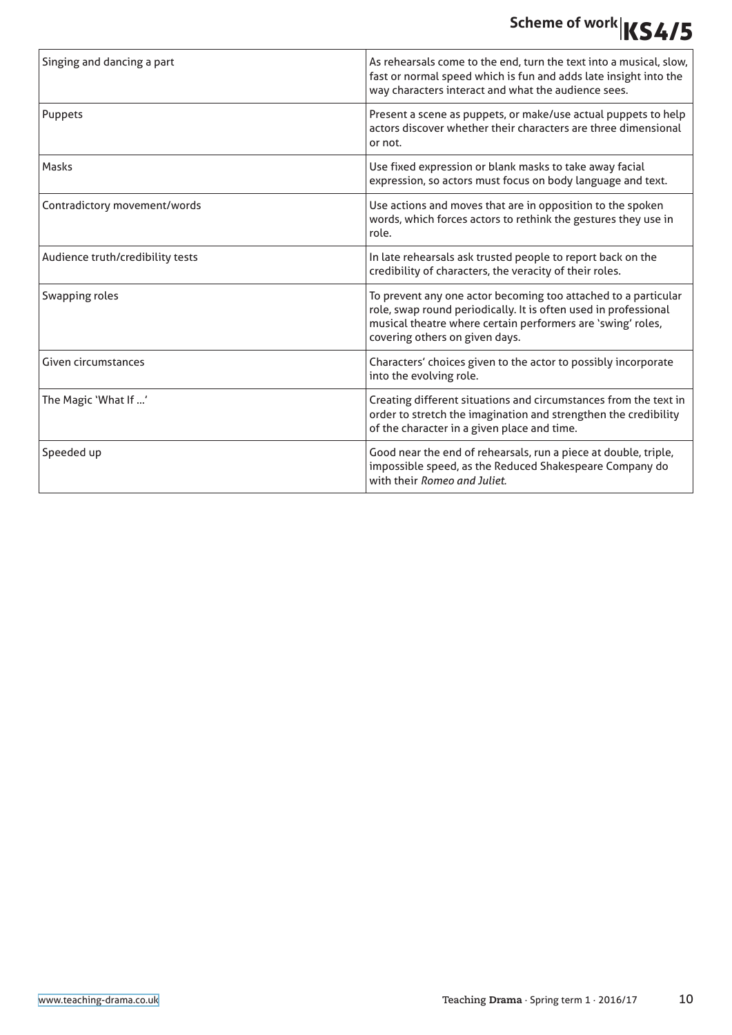| Singing and dancing a part       | As rehearsals come to the end, turn the text into a musical, slow,<br>fast or normal speed which is fun and adds late insight into the<br>way characters interact and what the audience sees.                                      |
|----------------------------------|------------------------------------------------------------------------------------------------------------------------------------------------------------------------------------------------------------------------------------|
| Puppets                          | Present a scene as puppets, or make/use actual puppets to help<br>actors discover whether their characters are three dimensional<br>or not.                                                                                        |
| Masks                            | Use fixed expression or blank masks to take away facial<br>expression, so actors must focus on body language and text.                                                                                                             |
| Contradictory movement/words     | Use actions and moves that are in opposition to the spoken<br>words, which forces actors to rethink the gestures they use in<br>role.                                                                                              |
| Audience truth/credibility tests | In late rehearsals ask trusted people to report back on the<br>credibility of characters, the veracity of their roles.                                                                                                             |
| Swapping roles                   | To prevent any one actor becoming too attached to a particular<br>role, swap round periodically. It is often used in professional<br>musical theatre where certain performers are 'swing' roles,<br>covering others on given days. |
| Given circumstances              | Characters' choices given to the actor to possibly incorporate<br>into the evolving role.                                                                                                                                          |
| The Magic 'What If '             | Creating different situations and circumstances from the text in<br>order to stretch the imagination and strengthen the credibility<br>of the character in a given place and time.                                                 |
| Speeded up                       | Good near the end of rehearsals, run a piece at double, triple,<br>impossible speed, as the Reduced Shakespeare Company do<br>with their Romeo and Juliet.                                                                         |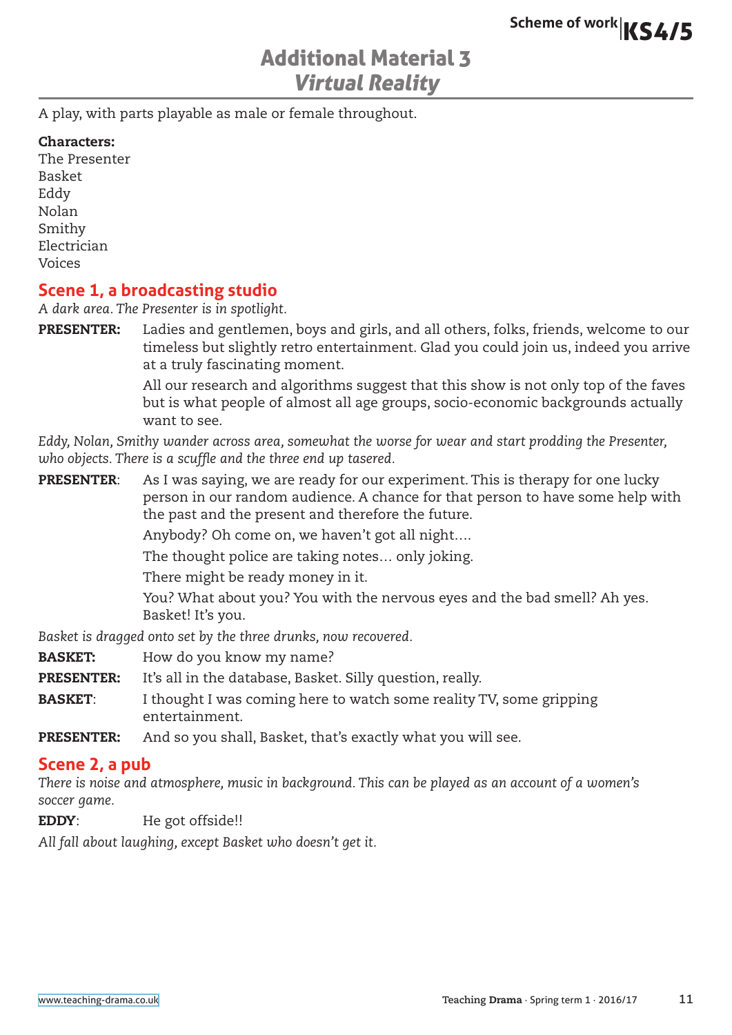## Additional Material 3 Virtual Reality

A play, with parts playable as male or female throughout.

#### Characters:

The Presenter Basket Eddy Nolan Smithy Electrician Voices

### **Scene 1, a broadcasting studio**

*A dark area. The Presenter is in spotlight.*

PRESENTER: Ladies and gentlemen, boys and girls, and all others, folks, friends, welcome to our timeless but slightly retro entertainment. Glad you could join us, indeed you arrive at a truly fascinating moment.

> All our research and algorithms suggest that this show is not only top of the faves but is what people of almost all age groups, socio-economic backgrounds actually want to see.

*Eddy, Nolan, Smithy wander across area, somewhat the worse for wear and start prodding the Presenter, who objects. There is a scuffle and the three end up tasered.*

**PRESENTER:** As I was saying, we are ready for our experiment. This is therapy for one lucky person in our random audience. A chance for that person to have some help with the past and the present and therefore the future. Anybody? Oh come on, we haven't got all night…. The thought police are taking notes… only joking. There might be ready money in it. You? What about you? You with the nervous eyes and the bad smell? Ah yes.

Basket! It's you.

*Basket is dragged onto set by the three drunks, now recovered.*

- **BASKET:** How do you know my name?
- **PRESENTER:** It's all in the database, Basket. Silly question, really.
- **BASKET:** I thought I was coming here to watch some reality TV, some gripping entertainment.
- PRESENTER: And so you shall, Basket, that's exactly what you will see.

### **Scene 2, a pub**

*There is noise and atmosphere, music in background. This can be played as an account of a women's soccer game.*

EDDY: He got offside!!

*All fall about laughing, except Basket who doesn't get it.*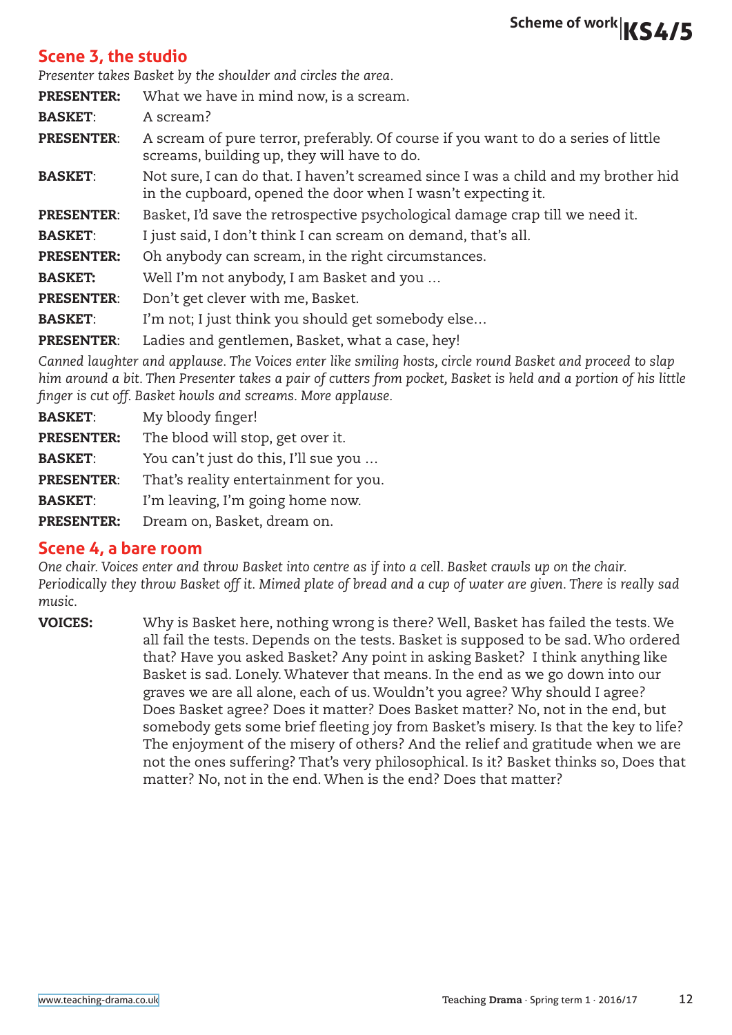### **Scene 3, the studio**

*Presenter takes Basket by the shoulder and circles the area.*

**PRESENTER:** What we have in mind now, is a scream. BASKET: A scream? **PRESENTER:** A scream of pure terror, preferably. Of course if you want to do a series of little screams, building up, they will have to do. **BASKET:** Not sure, I can do that. I haven't screamed since I was a child and my brother hid in the cupboard, opened the door when I wasn't expecting it. PRESENTER: Basket, I'd save the retrospective psychological damage crap till we need it. **BASKET:** I just said, I don't think I can scream on demand, that's all. PRESENTER: Oh anybody can scream, in the right circumstances. BASKET: Well I'm not anybody, I am Basket and you … PRESENTER: Don't get clever with me, Basket. **BASKET:** I'm not; I just think you should get somebody else... PRESENTER: Ladies and gentlemen, Basket, what a case, hey!

*Canned laughter and applause. The Voices enter like smiling hosts, circle round Basket and proceed to slap him around a bit. Then Presenter takes a pair of cutters from pocket, Basket is held and a portion of his little finger is cut off. Basket howls and screams. More applause.*

| <b>BASKET:</b>    | My bloody finger!                     |
|-------------------|---------------------------------------|
| <b>PRESENTER:</b> | The blood will stop, get over it.     |
| <b>BASKET:</b>    | You can't just do this, I'll sue you  |
| <b>PRESENTER:</b> | That's reality entertainment for you. |
| <b>BASKET:</b>    | I'm leaving, I'm going home now.      |
| <b>PRESENTER:</b> | Dream on, Basket, dream on.           |

### **Scene 4, a bare room**

*One chair. Voices enter and throw Basket into centre as if into a cell. Basket crawls up on the chair. Periodically they throw Basket off it. Mimed plate of bread and a cup of water are given. There is really sad music.*

VOICES: Why is Basket here, nothing wrong is there? Well, Basket has failed the tests. We all fail the tests. Depends on the tests. Basket is supposed to be sad. Who ordered that? Have you asked Basket? Any point in asking Basket? I think anything like Basket is sad. Lonely. Whatever that means. In the end as we go down into our graves we are all alone, each of us. Wouldn't you agree? Why should I agree? Does Basket agree? Does it matter? Does Basket matter? No, not in the end, but somebody gets some brief fleeting joy from Basket's misery. Is that the key to life? The enjoyment of the misery of others? And the relief and gratitude when we are not the ones suffering? That's very philosophical. Is it? Basket thinks so, Does that matter? No, not in the end. When is the end? Does that matter?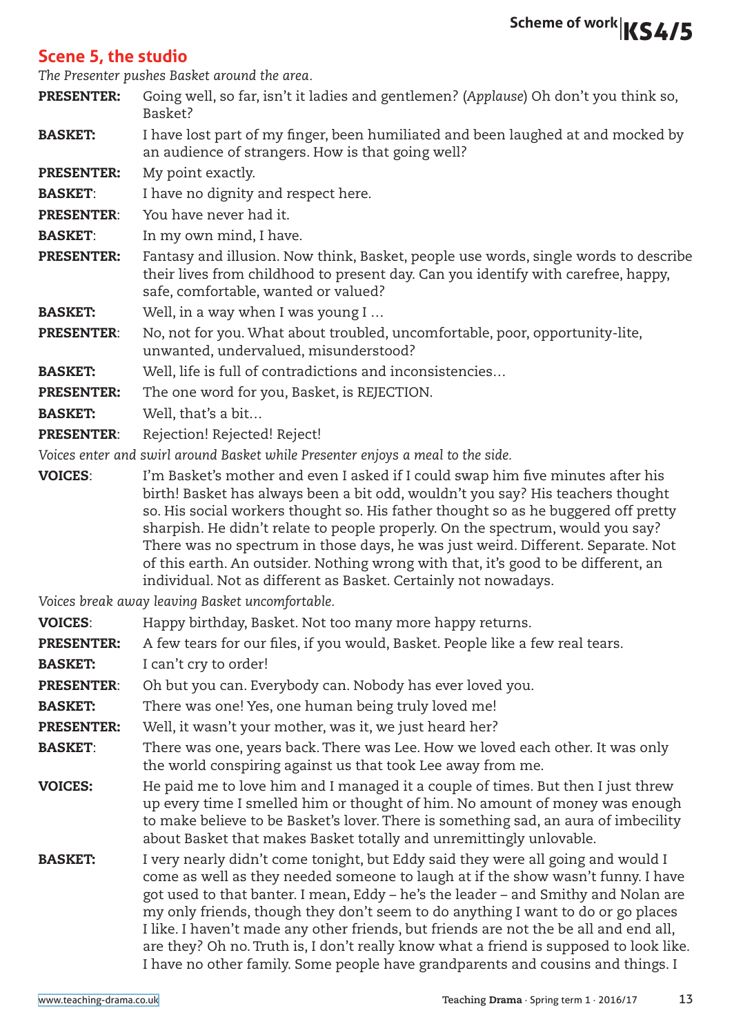### **Scene 5, the studio**

*The Presenter pushes Basket around the area.*

- PRESENTER: Going well, so far, isn't it ladies and gentlemen? (*Applause*) Oh don't you think so, Basket?
- **BASKET:** I have lost part of my finger, been humiliated and been laughed at and mocked by an audience of strangers. How is that going well?

PRESENTER: My point exactly.

- **BASKET:** I have no dignity and respect here.
- PRESENTER: You have never had it.
- **BASKET:** In my own mind, I have.
- PRESENTER: Fantasy and illusion. Now think, Basket, people use words, single words to describe their lives from childhood to present day. Can you identify with carefree, happy, safe, comfortable, wanted or valued?
- **BASKET:** Well, in a way when I was young I ...

PRESENTER: No, not for you. What about troubled, uncomfortable, poor, opportunity-lite, unwanted, undervalued, misunderstood?

- BASKET: Well, life is full of contradictions and inconsistencies…
- PRESENTER: The one word for you, Basket, is REJECTION.
- **BASKET:** Well, that's a bit...
- PRESENTER: Rejection! Rejected! Reject!

*Voices enter and swirl around Basket while Presenter enjoys a meal to the side.*

VOICES: I'm Basket's mother and even I asked if I could swap him five minutes after his birth! Basket has always been a bit odd, wouldn't you say? His teachers thought so. His social workers thought so. His father thought so as he buggered off pretty sharpish. He didn't relate to people properly. On the spectrum, would you say? There was no spectrum in those days, he was just weird. Different. Separate. Not of this earth. An outsider. Nothing wrong with that, it's good to be different, an individual. Not as different as Basket. Certainly not nowadays.

|                   | Voices break away leaving Basket uncomfortable.                                                                                                                                                                                                                                                                                                                                                                                                                                                                                                                                                                      |
|-------------------|----------------------------------------------------------------------------------------------------------------------------------------------------------------------------------------------------------------------------------------------------------------------------------------------------------------------------------------------------------------------------------------------------------------------------------------------------------------------------------------------------------------------------------------------------------------------------------------------------------------------|
| <b>VOICES:</b>    | Happy birthday, Basket. Not too many more happy returns.                                                                                                                                                                                                                                                                                                                                                                                                                                                                                                                                                             |
| <b>PRESENTER:</b> | A few tears for our files, if you would, Basket. People like a few real tears.                                                                                                                                                                                                                                                                                                                                                                                                                                                                                                                                       |
| <b>BASKET:</b>    | I can't cry to order!                                                                                                                                                                                                                                                                                                                                                                                                                                                                                                                                                                                                |
| <b>PRESENTER:</b> | Oh but you can. Everybody can. Nobody has ever loved you.                                                                                                                                                                                                                                                                                                                                                                                                                                                                                                                                                            |
| <b>BASKET:</b>    | There was one! Yes, one human being truly loved me!                                                                                                                                                                                                                                                                                                                                                                                                                                                                                                                                                                  |
| <b>PRESENTER:</b> | Well, it wasn't your mother, was it, we just heard her?                                                                                                                                                                                                                                                                                                                                                                                                                                                                                                                                                              |
| <b>BASKET:</b>    | There was one, years back. There was Lee. How we loved each other. It was only<br>the world conspiring against us that took Lee away from me.                                                                                                                                                                                                                                                                                                                                                                                                                                                                        |
| <b>VOICES:</b>    | He paid me to love him and I managed it a couple of times. But then I just threw<br>up every time I smelled him or thought of him. No amount of money was enough<br>to make believe to be Basket's lover. There is something sad, an aura of imbecility<br>about Basket that makes Basket totally and unremittingly unlovable.                                                                                                                                                                                                                                                                                       |
| <b>BASKET:</b>    | I very nearly didn't come tonight, but Eddy said they were all going and would I<br>come as well as they needed someone to laugh at if the show wasn't funny. I have<br>got used to that banter. I mean, Eddy - he's the leader - and Smithy and Nolan are<br>my only friends, though they don't seem to do anything I want to do or go places<br>I like. I haven't made any other friends, but friends are not the be all and end all,<br>are they? Oh no. Truth is, I don't really know what a friend is supposed to look like.<br>I have no other family. Some people have grandparents and cousins and things. I |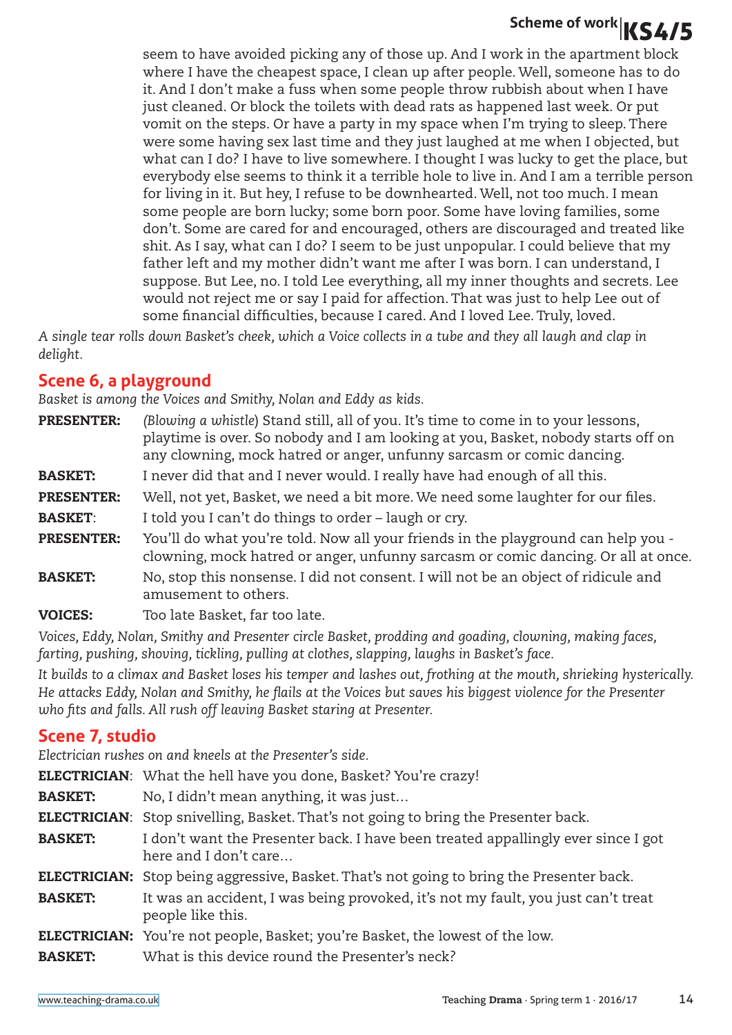seem to have avoided picking any of those up. And I work in the apartment block where I have the cheapest space, I clean up after people. Well, someone has to do it. And I don't make a fuss when some people throw rubbish about when I have just cleaned. Or block the toilets with dead rats as happened last week. Or put vomit on the steps. Or have a party in my space when I'm trying to sleep. There were some having sex last time and they just laughed at me when I objected, but what can I do? I have to live somewhere. I thought I was lucky to get the place, but everybody else seems to think it a terrible hole to live in. And I am a terrible person for living in it. But hey, I refuse to be downhearted. Well, not too much. I mean some people are born lucky; some born poor. Some have loving families, some don't. Some are cared for and encouraged, others are discouraged and treated like shit. As I say, what can I do? I seem to be just unpopular. I could believe that my father left and my mother didn't want me after I was born. I can understand, I suppose. But Lee, no. I told Lee everything, all my inner thoughts and secrets. Lee would not reject me or say I paid for affection. That was just to help Lee out of some financial difficulties, because I cared. And I loved Lee. Truly, loved.

*A single tear rolls down Basket's cheek, which a Voice collects in a tube and they all laugh and clap in delight.*

### **Scene 6, a playground**

*Basket is among the Voices and Smithy, Nolan and Eddy as kids.*

| <b>PRESENTER:</b> | (Blowing a whistle) Stand still, all of you. It's time to come in to your lessons,<br>playtime is over. So nobody and I am looking at you, Basket, nobody starts off on<br>any clowning, mock hatred or anger, unfunny sarcasm or comic dancing. |
|-------------------|--------------------------------------------------------------------------------------------------------------------------------------------------------------------------------------------------------------------------------------------------|
| <b>BASKET:</b>    | I never did that and I never would. I really have had enough of all this.                                                                                                                                                                        |
| <b>PRESENTER:</b> | Well, not yet, Basket, we need a bit more. We need some laughter for our files.                                                                                                                                                                  |
| <b>BASKET:</b>    | I told you I can't do things to order – laugh or cry.                                                                                                                                                                                            |
| <b>PRESENTER:</b> | You'll do what you're told. Now all your friends in the playground can help you -<br>clowning, mock hatred or anger, unfunny sarcasm or comic dancing. Or all at once.                                                                           |
| <b>BASKET:</b>    | No, stop this nonsense. I did not consent. I will not be an object of ridicule and<br>amusement to others.                                                                                                                                       |
| <b>VOICES:</b>    | Too late Basket, far too late.                                                                                                                                                                                                                   |

*Voices, Eddy, Nolan, Smithy and Presenter circle Basket, prodding and goading, clowning, making faces, farting, pushing, shoving, tickling, pulling at clothes, slapping, laughs in Basket's face.*

*It builds to a climax and Basket loses his temper and lashes out, frothing at the mouth, shrieking hysterically. He attacks Eddy, Nolan and Smithy, he flails at the Voices but saves his biggest violence for the Presenter who fits and falls. All rush off leaving Basket staring at Presenter.*

### **Scene 7, studio**

*Electrician rushes on and kneels at the Presenter's side.*

ELECTRICIAN: What the hell have you done, Basket? You're crazy!

BASKET: No, I didn't mean anything, it was just…

ELECTRICIAN: Stop snivelling, Basket. That's not going to bring the Presenter back.

**BASKET:** I don't want the Presenter back. I have been treated appallingly ever since I got here and I don't care…

**ELECTRICIAN:** Stop being aggressive, Basket. That's not going to bring the Presenter back.

**BASKET:** It was an accident, I was being provoked, it's not my fault, you just can't treat people like this.

- ELECTRICIAN: You're not people, Basket; you're Basket, the lowest of the low.
- BASKET: What is this device round the Presenter's neck?